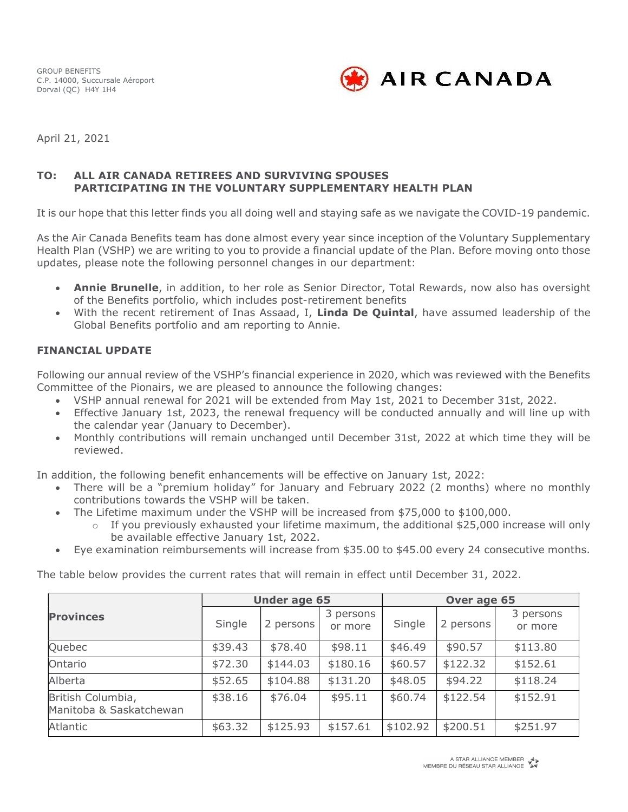GROUP BENEFITS C.P. 14000, Succursale Aéroport Dorval (QC) H4Y 1H4



April 21, 2021

## TO: ALL AIR CANADA RETIREES AND SURVIVING SPOUSES PARTICIPATING IN THE VOLUNTARY SUPPLEMENTARY HEALTH PLAN

It is our hope that this letter finds you all doing well and staying safe as we navigate the COVID-19 pandemic.

As the Air Canada Benefits team has done almost every year since inception of the Voluntary Supplementary Health Plan (VSHP) we are writing to you to provide a financial update of the Plan. Before moving onto those updates, please note the following personnel changes in our department:

- Annie Brunelle, in addition, to her role as Senior Director, Total Rewards, now also has oversight of the Benefits portfolio, which includes post-retirement benefits
- With the recent retirement of Inas Assaad, I, Linda De Quintal, have assumed leadership of the Global Benefits portfolio and am reporting to Annie.

## FINANCIAL UPDATE

Following our annual review of the VSHP's financial experience in 2020, which was reviewed with the Benefits Committee of the Pionairs, we are pleased to announce the following changes:

- VSHP annual renewal for 2021 will be extended from May 1st, 2021 to December 31st, 2022.
- Effective January 1st, 2023, the renewal frequency will be conducted annually and will line up with the calendar year (January to December).
- Monthly contributions will remain unchanged until December 31st, 2022 at which time they will be reviewed.

In addition, the following benefit enhancements will be effective on January 1st, 2022:

- There will be a "premium holiday" for January and February 2022 (2 months) where no monthly contributions towards the VSHP will be taken.
- The Lifetime maximum under the VSHP will be increased from \$75,000 to \$100,000.
	- $\circ$  If you previously exhausted your lifetime maximum, the additional \$25,000 increase will only be available effective January 1st, 2022.
- Eye examination reimbursements will increase from \$35.00 to \$45.00 every 24 consecutive months.

The table below provides the current rates that will remain in effect until December 31, 2022.

|                                              | <b>Under age 65</b> |           |                      | Over age 65 |           |                      |
|----------------------------------------------|---------------------|-----------|----------------------|-------------|-----------|----------------------|
| <b>Provinces</b>                             | Single              | 2 persons | 3 persons<br>or more | Single      | 2 persons | 3 persons<br>or more |
| Quebec                                       | \$39.43             | \$78.40   | \$98.11              | \$46.49     | \$90.57   | \$113.80             |
| Ontario                                      | \$72.30             | \$144.03  | \$180.16             | \$60.57     | \$122.32  | \$152.61             |
| Alberta                                      | \$52.65             | \$104.88  | \$131.20             | \$48.05     | \$94.22   | \$118.24             |
| British Columbia,<br>Manitoba & Saskatchewan | \$38.16             | \$76.04   | \$95.11              | \$60.74     | \$122.54  | \$152.91             |
| Atlantic                                     | \$63.32             | \$125.93  | \$157.61             | \$102.92    | \$200.51  | \$251.97             |

A STAR ALLIANCE MEMBER